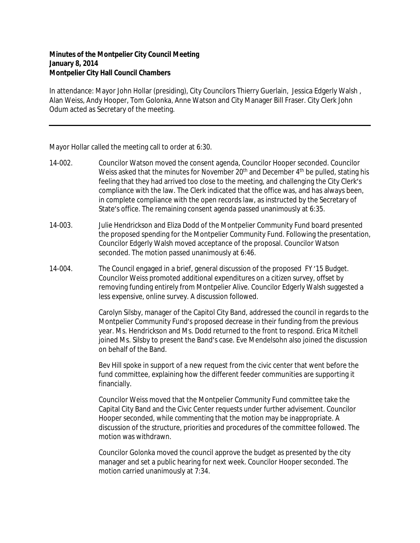## **Minutes of the Montpelier City Council Meeting January 8, 2014 Montpelier City Hall Council Chambers**

In attendance: Mayor John Hollar (presiding), City Councilors Thierry Guerlain, Jessica Edgerly Walsh , Alan Weiss, Andy Hooper, Tom Golonka, Anne Watson and City Manager Bill Fraser. City Clerk John Odum acted as Secretary of the meeting.

Mayor Hollar called the meeting call to order at 6:30.

- 14-002. Councilor Watson moved the consent agenda, Councilor Hooper seconded. Councilor Weiss asked that the minutes for November 20<sup>th</sup> and December 4<sup>th</sup> be pulled, stating his feeling that they had arrived too close to the meeting, and challenging the City Clerk's compliance with the law. The Clerk indicated that the office was, and has always been, in complete compliance with the open records law, as instructed by the Secretary of State's office. The remaining consent agenda passed unanimously at 6:35.
- 14-003. Julie Hendrickson and Eliza Dodd of the Montpelier Community Fund board presented the proposed spending for the Montpelier Community Fund. Following the presentation, Councilor Edgerly Walsh moved acceptance of the proposal. Councilor Watson seconded. The motion passed unanimously at 6:46.
- 14-004. The Council engaged in a brief, general discussion of the proposed FY '15 Budget. Councilor Weiss promoted additional expenditures on a citizen survey, offset by removing funding entirely from Montpelier Alive. Councilor Edgerly Walsh suggested a less expensive, online survey. A discussion followed.

Carolyn Silsby, manager of the Capitol City Band, addressed the council in regards to the Montpelier Community Fund's proposed decrease in their funding from the previous year. Ms. Hendrickson and Ms. Dodd returned to the front to respond. Erica Mitchell joined Ms. Silsby to present the Band's case. Eve Mendelsohn also joined the discussion on behalf of the Band.

Bev Hill spoke in support of a new request from the civic center that went before the fund committee, explaining how the different feeder communities are supporting it financially.

Councilor Weiss moved that the Montpelier Community Fund committee take the Capital City Band and the Civic Center requests under further advisement. Councilor Hooper seconded, while commenting that the motion may be inappropriate. A discussion of the structure, priorities and procedures of the committee followed. The motion was withdrawn.

Councilor Golonka moved the council approve the budget as presented by the city manager and set a public hearing for next week. Councilor Hooper seconded. The motion carried unanimously at 7:34.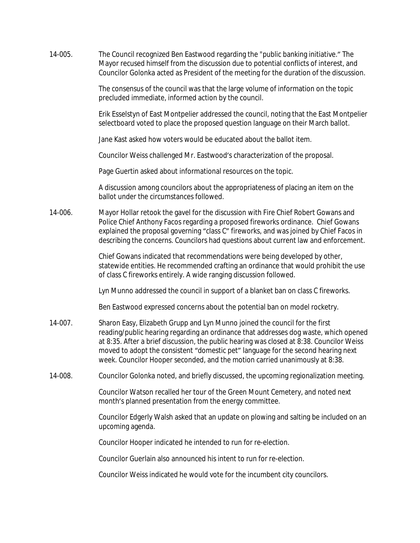14-005. The Council recognized Ben Eastwood regarding the "public banking initiative." The Mayor recused himself from the discussion due to potential conflicts of interest, and Councilor Golonka acted as President of the meeting for the duration of the discussion. The consensus of the council was that the large volume of information on the topic precluded immediate, informed action by the council. Erik Esselstyn of East Montpelier addressed the council, noting that the East Montpelier selectboard voted to place the proposed question language on their March ballot. Jane Kast asked how voters would be educated about the ballot item. Councilor Weiss challenged Mr. Eastwood's characterization of the proposal. Page Guertin asked about informational resources on the topic. A discussion among councilors about the appropriateness of placing an item on the ballot under the circumstances followed. 14-006. Mayor Hollar retook the gavel for the discussion with Fire Chief Robert Gowans and Police Chief Anthony Facos regarding a proposed fireworks ordinance. Chief Gowans explained the proposal governing "class C" fireworks, and was joined by Chief Facos in describing the concerns. Councilors had questions about current law and enforcement. Chief Gowans indicated that recommendations were being developed by other, statewide entities. He recommended crafting an ordinance that would prohibit the use of class C fireworks entirely. A wide ranging discussion followed. Lyn Munno addressed the council in support of a blanket ban on class C fireworks. Ben Eastwood expressed concerns about the potential ban on model rocketry. 14-007. Sharon Easy, Elizabeth Grupp and Lyn Munno joined the council for the first reading/public hearing regarding an ordinance that addresses dog waste, which opened at 8:35. After a brief discussion, the public hearing was closed at 8:38. Councilor Weiss moved to adopt the consistent "domestic pet" language for the second hearing next week. Councilor Hooper seconded, and the motion carried unanimously at 8:38. 14-008. Councilor Golonka noted, and briefly discussed, the upcoming regionalization meeting. Councilor Watson recalled her tour of the Green Mount Cemetery, and noted next month's planned presentation from the energy committee. Councilor Edgerly Walsh asked that an update on plowing and salting be included on an upcoming agenda. Councilor Hooper indicated he intended to run for re-election. Councilor Guerlain also announced his intent to run for re-election. Councilor Weiss indicated he would vote for the incumbent city councilors.